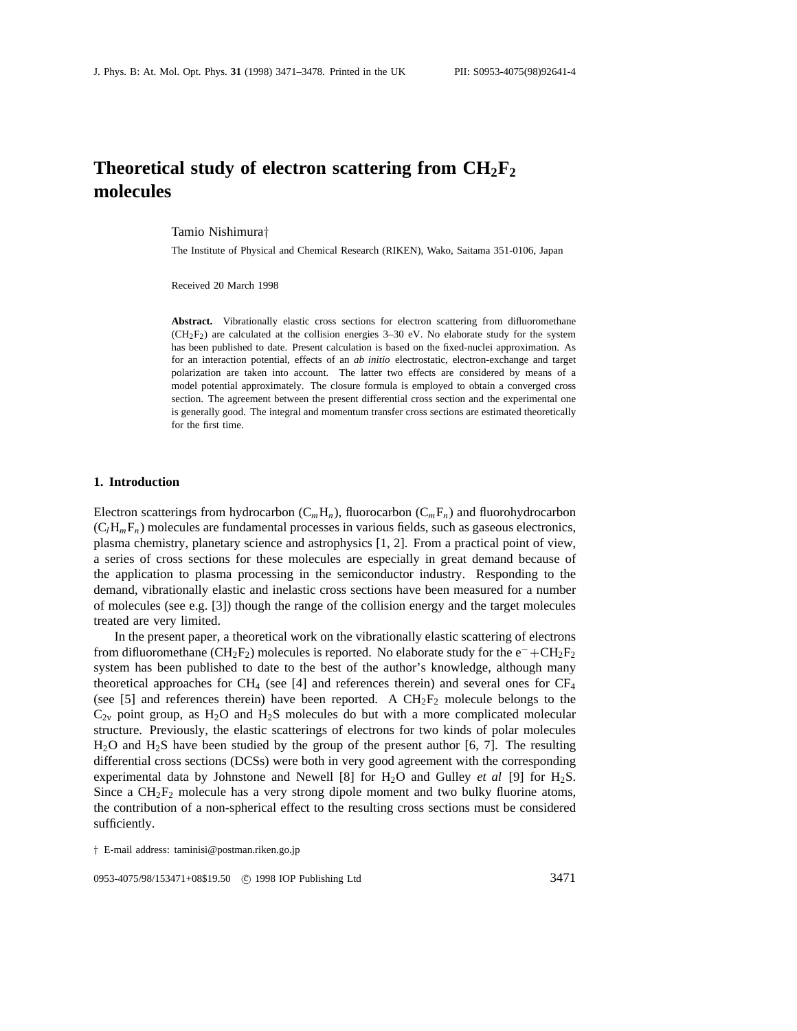# **Theoretical study of electron scattering from CH2F2 molecules**

Tamio Nishimura*†*

The Institute of Physical and Chemical Research (RIKEN), Wako, Saitama 351-0106, Japan

Received 20 March 1998

Abstract. Vibrationally elastic cross sections for electron scattering from difluoromethane  $(CH_2F_2)$  are calculated at the collision energies 3–30 eV. No elaborate study for the system has been published to date. Present calculation is based on the fixed-nuclei approximation. As for an interaction potential, effects of an *ab initio* electrostatic, electron-exchange and target polarization are taken into account. The latter two effects are considered by means of a model potential approximately. The closure formula is employed to obtain a converged cross section. The agreement between the present differential cross section and the experimental one is generally good. The integral and momentum transfer cross sections are estimated theoretically for the first time.

#### **1. Introduction**

Electron scatterings from hydrocarbon  $(C_mH_n)$ , fluorocarbon  $(C_mF_n)$  and fluorohydrocarbon  $(C_lH_mF_n)$  molecules are fundamental processes in various fields, such as gaseous electronics, plasma chemistry, planetary science and astrophysics [1, 2]. From a practical point of view, a series of cross sections for these molecules are especially in great demand because of the application to plasma processing in the semiconductor industry. Responding to the demand, vibrationally elastic and inelastic cross sections have been measured for a number of molecules (see e.g. [3]) though the range of the collision energy and the target molecules treated are very limited.

In the present paper, a theoretical work on the vibrationally elastic scattering of electrons from difluoromethane (CH<sub>2</sub>F<sub>2</sub>) molecules is reported. No elaborate study for the e<sup>−</sup>+CH<sub>2</sub>F<sub>2</sub> system has been published to date to the best of the author's knowledge, although many theoretical approaches for CH<sub>4</sub> (see [4] and references therein) and several ones for CF<sub>4</sub> (see [5] and references therein) have been reported. A  $CH<sub>2</sub>F<sub>2</sub>$  molecule belongs to the  $C_{2v}$  point group, as  $H_2O$  and  $H_2S$  molecules do but with a more complicated molecular structure. Previously, the elastic scatterings of electrons for two kinds of polar molecules  $H<sub>2</sub>O$  and  $H<sub>2</sub>S$  have been studied by the group of the present author [6, 7]. The resulting differential cross sections (DCSs) were both in very good agreement with the corresponding experimental data by Johnstone and Newell [8] for H2O and Gulley *et al* [9] for H2S. Since a  $CH<sub>2</sub>F<sub>2</sub>$  molecule has a very strong dipole moment and two bulky fluorine atoms, the contribution of a non-spherical effect to the resulting cross sections must be considered sufficiently.

*†* E-mail address: taminisi@postman.riken.go.jp

0953-4075/98/153471+08\$19.50 © 1998 IOP Publishing Ltd 3471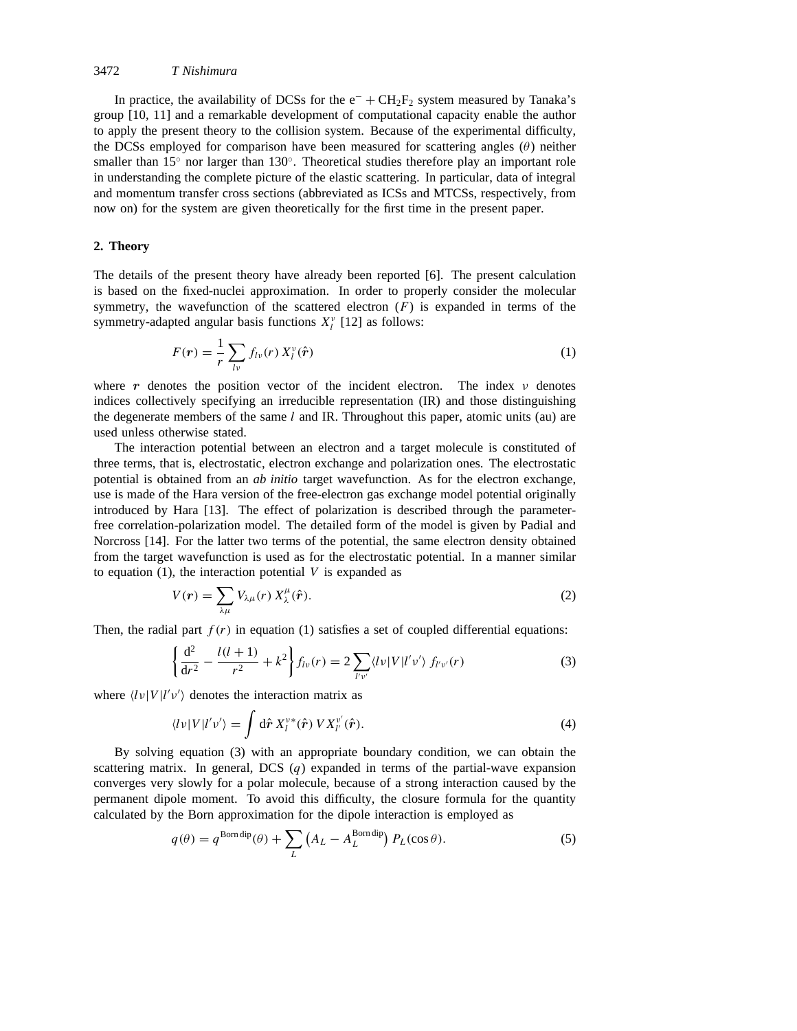In practice, the availability of DCSs for the  $e^- + CH_2F_2$  system measured by Tanaka's group [10, 11] and a remarkable development of computational capacity enable the author to apply the present theory to the collision system. Because of the experimental difficulty, the DCSs employed for comparison have been measured for scattering angles (*θ*) neither smaller than  $15°$  nor larger than  $130°$ . Theoretical studies therefore play an important role in understanding the complete picture of the elastic scattering. In particular, data of integral and momentum transfer cross sections (abbreviated as ICSs and MTCSs, respectively, from now on) for the system are given theoretically for the first time in the present paper.

#### **2. Theory**

The details of the present theory have already been reported [6]. The present calculation is based on the fixed-nuclei approximation. In order to properly consider the molecular symmetry, the wavefunction of the scattered electron  $(F)$  is expanded in terms of the symmetry-adapted angular basis functions  $X_l^{\nu}$  [12] as follows:

$$
F(r) = \frac{1}{r} \sum_{lv} f_{lv}(r) X_l^{\nu}(\hat{r})
$$
 (1)

where *r* denotes the position vector of the incident electron. The index *ν* denotes indices collectively specifying an irreducible representation (IR) and those distinguishing the degenerate members of the same *l* and IR. Throughout this paper, atomic units (au) are used unless otherwise stated.

The interaction potential between an electron and a target molecule is constituted of three terms, that is, electrostatic, electron exchange and polarization ones. The electrostatic potential is obtained from an *ab initio* target wavefunction. As for the electron exchange, use is made of the Hara version of the free-electron gas exchange model potential originally introduced by Hara [13]. The effect of polarization is described through the parameterfree correlation-polarization model. The detailed form of the model is given by Padial and Norcross [14]. For the latter two terms of the potential, the same electron density obtained from the target wavefunction is used as for the electrostatic potential. In a manner similar to equation  $(1)$ , the interaction potential  $V$  is expanded as

$$
V(r) = \sum_{\lambda\mu} V_{\lambda\mu}(r) X_{\lambda}^{\mu}(\hat{r}).
$$
\n(2)

Then, the radial part  $f(r)$  in equation (1) satisfies a set of coupled differential equations:

$$
\left\{\frac{\mathrm{d}^2}{\mathrm{d}r^2} - \frac{l(l+1)}{r^2} + k^2\right\} f_{lv}(r) = 2\sum_{l'v'} \langle l v | V | l'v' \rangle f_{l'v'}(r) \tag{3}
$$

where  $\langle l \nu | V | l' \nu' \rangle$  denotes the interaction matrix as

$$
\langle l\nu|V|l'\nu'\rangle = \int d\hat{\boldsymbol{r}}\, X_l^{\nu*}(\hat{\boldsymbol{r}})\,V X_{l'}^{\nu'}(\hat{\boldsymbol{r}}). \tag{4}
$$

By solving equation (3) with an appropriate boundary condition, we can obtain the scattering matrix. In general, DCS  $(q)$  expanded in terms of the partial-wave expansion converges very slowly for a polar molecule, because of a strong interaction caused by the permanent dipole moment. To avoid this difficulty, the closure formula for the quantity calculated by the Born approximation for the dipole interaction is employed as

$$
q(\theta) = q^{\text{Born dip}}(\theta) + \sum_{L} \left( A_L - A_L^{\text{Born dip}} \right) P_L(\cos \theta). \tag{5}
$$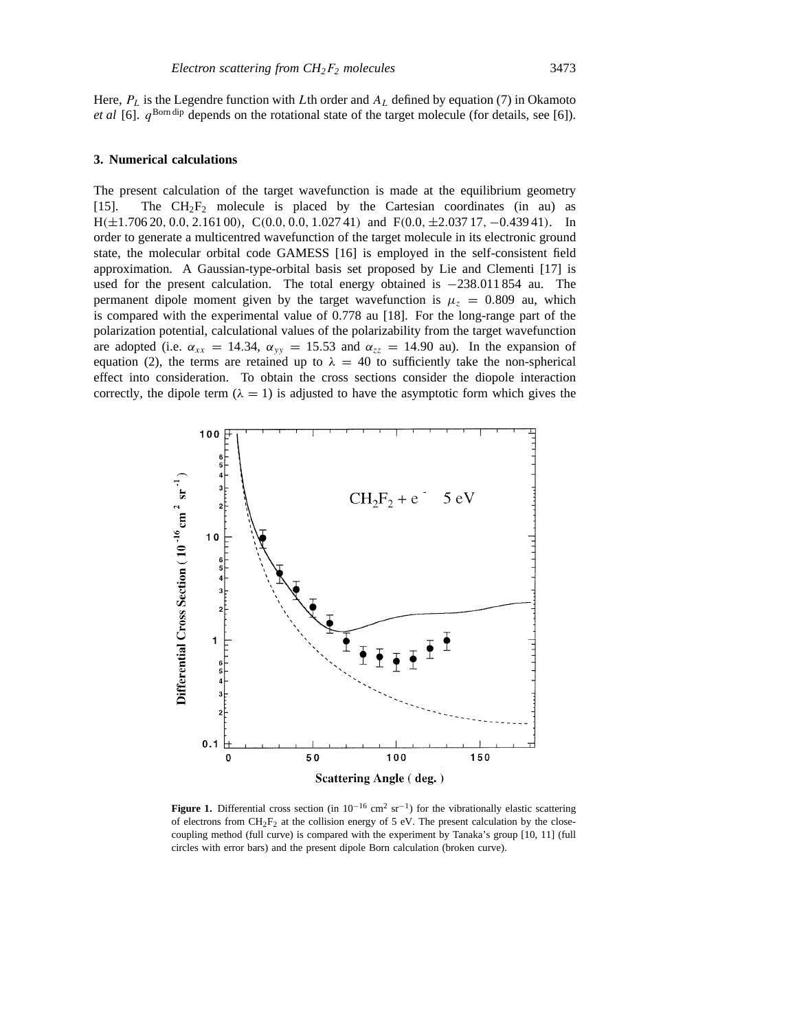Here, *PL* is the Legendre function with *L*th order and *AL* defined by equation (7) in Okamoto *et al* [6].  $q^{Born dip}$  depends on the rotational state of the target molecule (for details, see [6]).

#### **3. Numerical calculations**

The present calculation of the target wavefunction is made at the equilibrium geometry [15]. The  $CH_2F_2$  molecule is placed by the Cartesian coordinates (in au) as  $H(\pm 1.70620, 0.0, 2.16100), C(0.0, 0.0, 1.02741)$  and  $F(0.0, \pm 2.03717, -0.43941).$  In order to generate a multicentred wavefunction of the target molecule in its electronic ground state, the molecular orbital code GAMESS [16] is employed in the self-consistent field approximation. A Gaussian-type-orbital basis set proposed by Lie and Clementi [17] is used for the present calculation. The total energy obtained is −238*.*011 854 au. The permanent dipole moment given by the target wavefunction is  $\mu_z = 0.809$  au, which is compared with the experimental value of 0.778 au [18]. For the long-range part of the polarization potential, calculational values of the polarizability from the target wavefunction are adopted (i.e.  $\alpha_{xx} = 14.34$ ,  $\alpha_{yy} = 15.53$  and  $\alpha_{zz} = 14.90$  au). In the expansion of equation (2), the terms are retained up to  $\lambda = 40$  to sufficiently take the non-spherical effect into consideration. To obtain the cross sections consider the diopole interaction correctly, the dipole term  $(\lambda = 1)$  is adjusted to have the asymptotic form which gives the



**Figure 1.** Differential cross section (in  $10^{-16}$  cm<sup>2</sup> sr<sup>-1</sup>) for the vibrationally elastic scattering of electrons from  $CH_2F_2$  at the collision energy of 5 eV. The present calculation by the closecoupling method (full curve) is compared with the experiment by Tanaka's group [10, 11] (full circles with error bars) and the present dipole Born calculation (broken curve).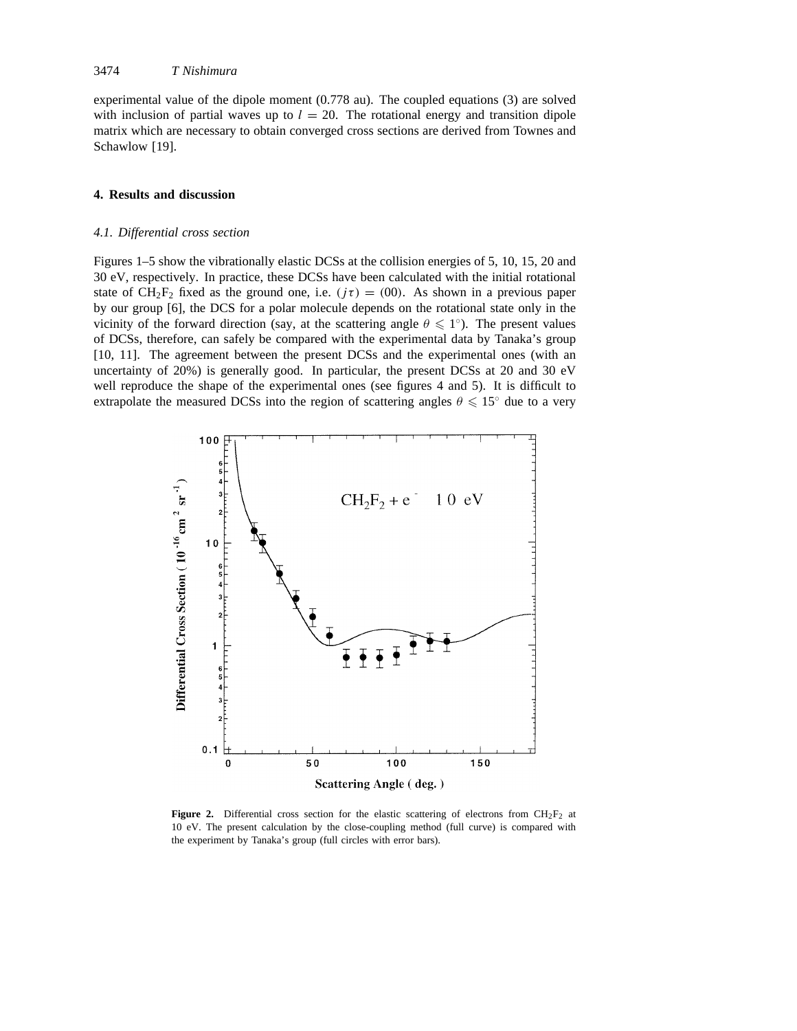experimental value of the dipole moment (0.778 au). The coupled equations (3) are solved with inclusion of partial waves up to  $l = 20$ . The rotational energy and transition dipole matrix which are necessary to obtain converged cross sections are derived from Townes and Schawlow [19].

## **4. Results and discussion**

# *4.1. Differential cross section*

Figures 1–5 show the vibrationally elastic DCSs at the collision energies of 5, 10, 15, 20 and 30 eV, respectively. In practice, these DCSs have been calculated with the initial rotational state of  $CH_2F_2$  fixed as the ground one, i.e.  $(j\tau) = (00)$ . As shown in a previous paper by our group [6], the DCS for a polar molecule depends on the rotational state only in the vicinity of the forward direction (say, at the scattering angle  $\theta \leq 1^\circ$ ). The present values of DCSs, therefore, can safely be compared with the experimental data by Tanaka's group [10, 11]. The agreement between the present DCSs and the experimental ones (with an uncertainty of 20%) is generally good. In particular, the present DCSs at 20 and 30 eV well reproduce the shape of the experimental ones (see figures 4 and 5). It is difficult to extrapolate the measured DCSs into the region of scattering angles  $\theta \le 15°$  due to a very



**Figure 2.** Differential cross section for the elastic scattering of electrons from  $CH_2F_2$  at 10 eV. The present calculation by the close-coupling method (full curve) is compared with the experiment by Tanaka's group (full circles with error bars).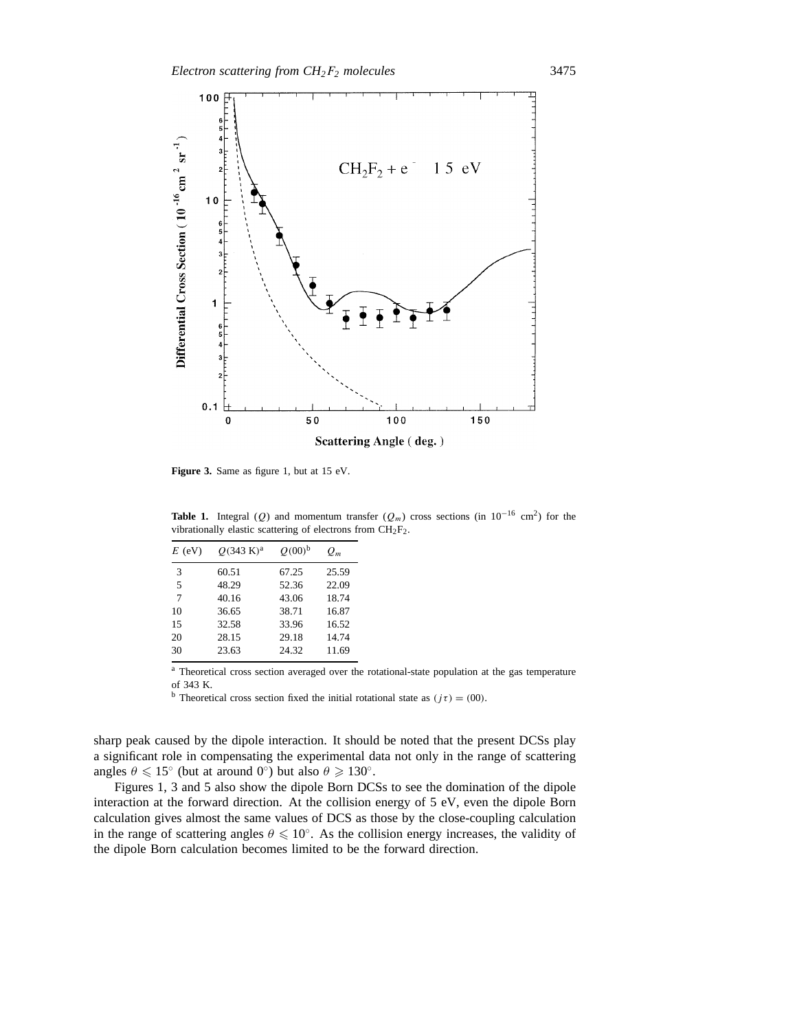

Figure 3. Same as figure 1, but at 15 eV.

**Table 1.** Integral (*Q*) and momentum transfer ( $Q_m$ ) cross sections (in 10<sup>-16</sup> cm<sup>2</sup>) for the vibrationally elastic scattering of electrons from CH2F2.

| $E$ (eV) | $O(343 \text{ K})^{\text{a}}$ | $O(00)^b$ | $Q_m$ |
|----------|-------------------------------|-----------|-------|
| 3        | 60.51                         | 67.25     | 25.59 |
| 5        | 48.29                         | 52.36     | 22.09 |
| 7        | 40.16                         | 43.06     | 18.74 |
| 10       | 36.65                         | 38.71     | 16.87 |
| 15       | 32.58                         | 33.96     | 16.52 |
| 20       | 28.15                         | 29.18     | 14.74 |
| 30       | 23.63                         | 24.32     | 11.69 |

<sup>a</sup> Theoretical cross section averaged over the rotational-state population at the gas temperature of 343 K.

<sup>b</sup> Theoretical cross section fixed the initial rotational state as  $(j\tau) = (00)$ .

sharp peak caused by the dipole interaction. It should be noted that the present DCSs play a significant role in compensating the experimental data not only in the range of scattering angles  $\theta \leq 15^\circ$  (but at around 0<sup>°</sup>) but also  $\theta \geq 130^\circ$ .

Figures 1, 3 and 5 also show the dipole Born DCSs to see the domination of the dipole interaction at the forward direction. At the collision energy of 5 eV, even the dipole Born calculation gives almost the same values of DCS as those by the close-coupling calculation in the range of scattering angles  $\theta \le 10^\circ$ . As the collision energy increases, the validity of the dipole Born calculation becomes limited to be the forward direction.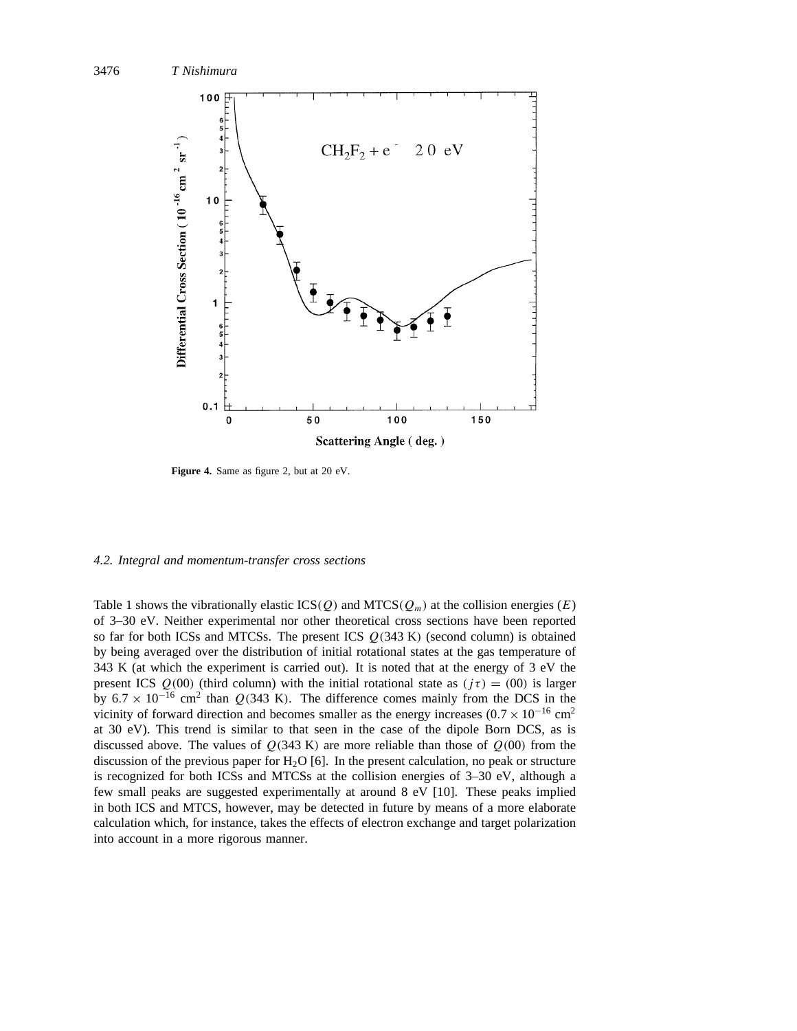

Figure 4. Same as figure 2, but at 20 eV.

#### *4.2. Integral and momentum-transfer cross sections*

Table 1 shows the vibrationally elastic  $ICS(Q)$  and  $MTCS(Q_m)$  at the collision energies  $(E)$ of 3–30 eV. Neither experimental nor other theoretical cross sections have been reported so far for both ICSs and MTCSs. The present ICS *Q(*343 K*)* (second column) is obtained by being averaged over the distribution of initial rotational states at the gas temperature of 343 K (at which the experiment is carried out). It is noted that at the energy of 3 eV the present ICS  $Q(00)$  (third column) with the initial rotational state as  $(j\tau) = (00)$  is larger by  $6.7 \times 10^{-16}$  cm<sup>2</sup> than  $Q(343 \text{ K})$ . The difference comes mainly from the DCS in the vicinity of forward direction and becomes smaller as the energy increases  $(0.7 \times 10^{-16} \text{ cm}^2)$ at 30 eV). This trend is similar to that seen in the case of the dipole Born DCS, as is discussed above. The values of  $Q(343 \text{ K})$  are more reliable than those of  $Q(00)$  from the discussion of the previous paper for  $H<sub>2</sub>O$  [6]. In the present calculation, no peak or structure is recognized for both ICSs and MTCSs at the collision energies of 3–30 eV, although a few small peaks are suggested experimentally at around 8 eV [10]. These peaks implied in both ICS and MTCS, however, may be detected in future by means of a more elaborate calculation which, for instance, takes the effects of electron exchange and target polarization into account in a more rigorous manner.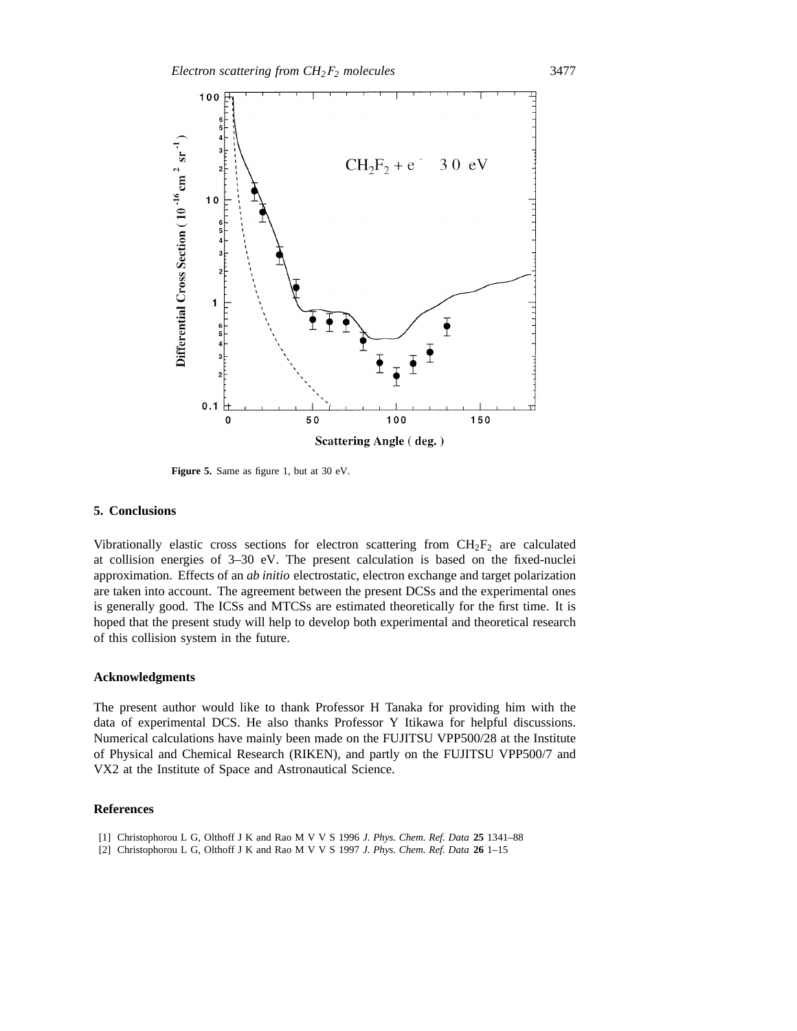

Figure 5. Same as figure 1, but at 30 eV.

## **5. Conclusions**

Vibrationally elastic cross sections for electron scattering from  $CH_2F_2$  are calculated at collision energies of 3–30 eV. The present calculation is based on the fixed-nuclei approximation. Effects of an *ab initio* electrostatic, electron exchange and target polarization are taken into account. The agreement between the present DCSs and the experimental ones is generally good. The ICSs and MTCSs are estimated theoretically for the first time. It is hoped that the present study will help to develop both experimental and theoretical research of this collision system in the future.

#### **Acknowledgments**

The present author would like to thank Professor H Tanaka for providing him with the data of experimental DCS. He also thanks Professor Y Itikawa for helpful discussions. Numerical calculations have mainly been made on the FUJITSU VPP500/28 at the Institute of Physical and Chemical Research (RIKEN), and partly on the FUJITSU VPP500/7 and VX2 at the Institute of Space and Astronautical Science.

## **References**

- [1] Christophorou L G, Olthoff J K and Rao M V V S 1996 *J. Phys. Chem. Ref. Data* **25** 1341–88
- [2] Christophorou L G, Olthoff J K and Rao M V V S 1997 *J. Phys. Chem. Ref. Data* **26** 1–15